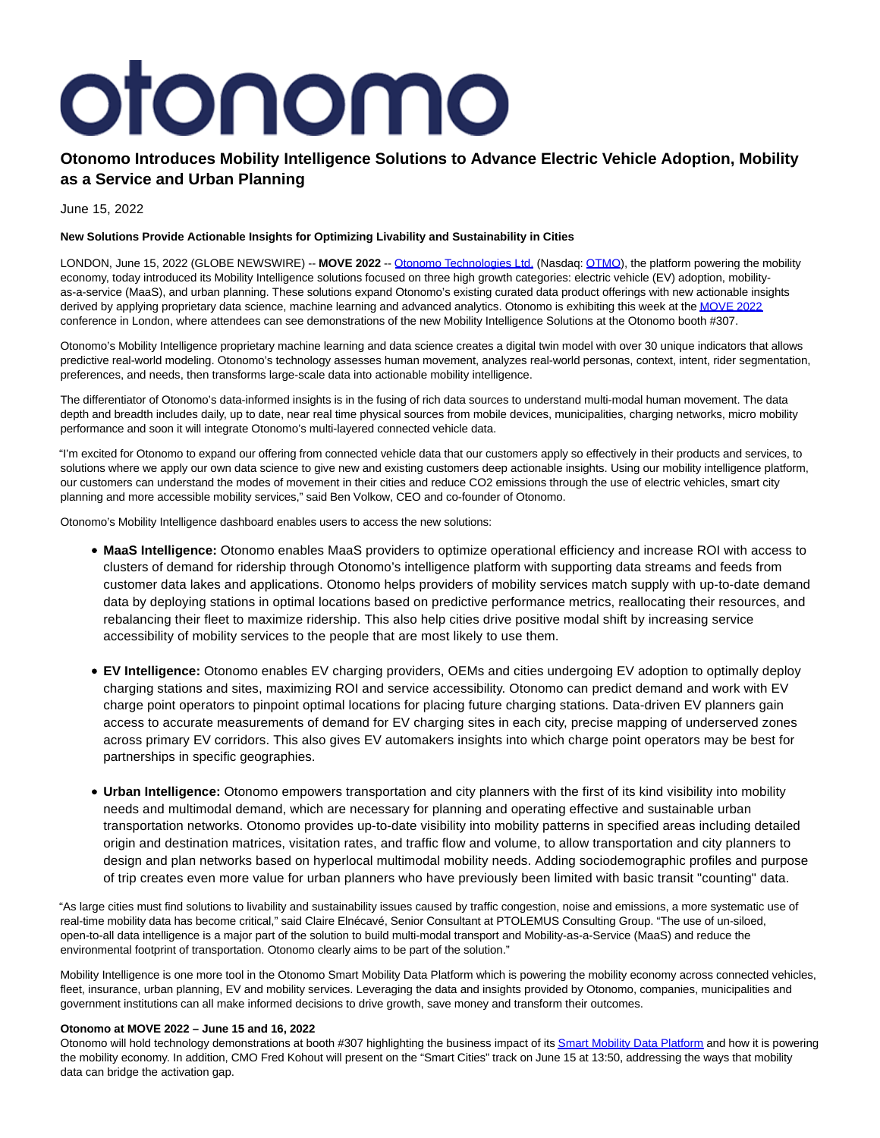# otonomo

# **Otonomo Introduces Mobility Intelligence Solutions to Advance Electric Vehicle Adoption, Mobility as a Service and Urban Planning**

June 15, 2022

# **New Solutions Provide Actionable Insights for Optimizing Livability and Sustainability in Cities**

LONDON, June 15, 2022 (GLOBE NEWSWIRE) -- **MOVE 2022** -- [Otonomo Technologies Ltd. \(](https://www.globenewswire.com/Tracker?data=UgA79s0wTKMc-qpq7rEUUfgHGSFs6DElLuuJs6okdl3kYyqc7nBOHWKuY0irHaKAlEiaSpsAPFCCZsOEXMAR36oe4WJvr9-FAOSRg635hQw=)Nasdaq: [OTMO\),](https://www.globenewswire.com/Tracker?data=CoLRWj79RfeXX0ZpAaUJjnSaHc7V9eeT5caGhQqOI5AmAfVTjwOxFagf4QybT67XvUyRwO6ZYudBkDZbK6HKOQ==) the platform powering the mobility economy, today introduced its Mobility Intelligence solutions focused on three high growth categories: electric vehicle (EV) adoption, mobilityas-a-service (MaaS), and urban planning. These solutions expand Otonomo's existing curated data product offerings with new actionable insights derived by applying proprietary data science, machine learning and advanced analytics. Otonomo is exhibiting this week at th[e MOVE 2022](https://www.globenewswire.com/Tracker?data=GdbKJajLQcw8uesXGHd4kAJa5IZaUTUHHWXefrgHfTf-kyBRK_Dh_Lo3Id4GKCpFd86uuT204jWRspnS3WRrugErVbMOXfYvt3XHA_iTPy3zUoIylPKuLMCRwzDf8gOs) conference in London, where attendees can see demonstrations of the new Mobility Intelligence Solutions at the Otonomo booth #307.

Otonomo's Mobility Intelligence proprietary machine learning and data science creates a digital twin model with over 30 unique indicators that allows predictive real-world modeling. Otonomo's technology assesses human movement, analyzes real-world personas, context, intent, rider segmentation, preferences, and needs, then transforms large-scale data into actionable mobility intelligence.

The differentiator of Otonomo's data-informed insights is in the fusing of rich data sources to understand multi-modal human movement. The data depth and breadth includes daily, up to date, near real time physical sources from mobile devices, municipalities, charging networks, micro mobility performance and soon it will integrate Otonomo's multi-layered connected vehicle data.

"I'm excited for Otonomo to expand our offering from connected vehicle data that our customers apply so effectively in their products and services, to solutions where we apply our own data science to give new and existing customers deep actionable insights. Using our mobility intelligence platform, our customers can understand the modes of movement in their cities and reduce CO2 emissions through the use of electric vehicles, smart city planning and more accessible mobility services," said Ben Volkow, CEO and co-founder of Otonomo.

Otonomo's Mobility Intelligence dashboard enables users to access the new solutions:

- **MaaS Intelligence:** Otonomo enables MaaS providers to optimize operational efficiency and increase ROI with access to clusters of demand for ridership through Otonomo's intelligence platform with supporting data streams and feeds from customer data lakes and applications. Otonomo helps providers of mobility services match supply with up-to-date demand data by deploying stations in optimal locations based on predictive performance metrics, reallocating their resources, and rebalancing their fleet to maximize ridership. This also help cities drive positive modal shift by increasing service accessibility of mobility services to the people that are most likely to use them.
- **EV Intelligence:** Otonomo enables EV charging providers, OEMs and cities undergoing EV adoption to optimally deploy charging stations and sites, maximizing ROI and service accessibility. Otonomo can predict demand and work with EV charge point operators to pinpoint optimal locations for placing future charging stations. Data-driven EV planners gain access to accurate measurements of demand for EV charging sites in each city, precise mapping of underserved zones across primary EV corridors. This also gives EV automakers insights into which charge point operators may be best for partnerships in specific geographies.
- **Urban Intelligence:** Otonomo empowers transportation and city planners with the first of its kind visibility into mobility needs and multimodal demand, which are necessary for planning and operating effective and sustainable urban transportation networks. Otonomo provides up-to-date visibility into mobility patterns in specified areas including detailed origin and destination matrices, visitation rates, and traffic flow and volume, to allow transportation and city planners to design and plan networks based on hyperlocal multimodal mobility needs. Adding sociodemographic profiles and purpose of trip creates even more value for urban planners who have previously been limited with basic transit "counting" data.

"As large cities must find solutions to livability and sustainability issues caused by traffic congestion, noise and emissions, a more systematic use of real-time mobility data has become critical," said Claire Elnécavé, Senior Consultant at PTOLEMUS Consulting Group. "The use of un-siloed, open-to-all data intelligence is a major part of the solution to build multi-modal transport and Mobility-as-a-Service (MaaS) and reduce the environmental footprint of transportation. Otonomo clearly aims to be part of the solution."

Mobility Intelligence is one more tool in the Otonomo Smart Mobility Data Platform which is powering the mobility economy across connected vehicles, fleet, insurance, urban planning, EV and mobility services. Leveraging the data and insights provided by Otonomo, companies, municipalities and government institutions can all make informed decisions to drive growth, save money and transform their outcomes.

## **Otonomo at MOVE 2022 – June 15 and 16, 2022**

Otonomo will hold technology demonstrations at booth #307 highlighting the business impact of it[s Smart Mobility Data Platform a](https://www.globenewswire.com/Tracker?data=CV23lV5foOVztqugq02WiFfQAWPkfmLzK1XrKSyvU2hKQxnARmoV-1mhfjC6LN7yJ0UWGi2XLcu-rnGQrG_p92H0LLr2kavMbRPYswStCx0=)nd how it is powering the mobility economy. In addition, CMO Fred Kohout will present on the "Smart Cities" track on June 15 at 13:50, addressing the ways that mobility data can bridge the activation gap.